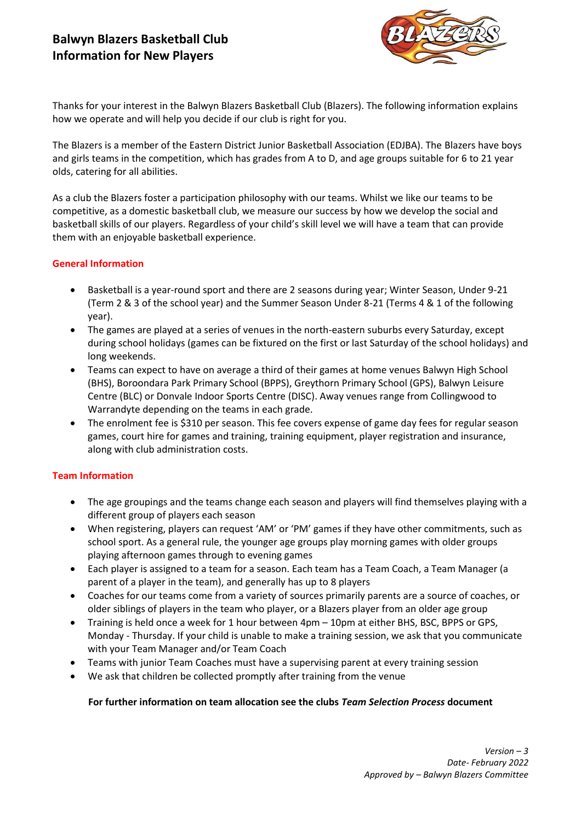# **Balwyn Blazers Basketball Club Information for New Players**



Thanks for your interest in the Balwyn Blazers Basketball Club (Blazers). The following information explains how we operate and will help you decide if our club is right for you.

The Blazers is a member of the Eastern District Junior Basketball Association (EDJBA). The Blazers have boys and girls teams in the competition, which has grades from A to D, and age groups suitable for 6 to 21 year olds, catering for all abilities.

As a club the Blazers foster a participation philosophy with our teams. Whilst we like our teams to be competitive, as a domestic basketball club, we measure our success by how we develop the social and basketball skills of our players. Regardless of your child's skill level we will have a team that can provide them with an enjoyable basketball experience.

### **General Information**

- Basketball is a year-round sport and there are 2 seasons during year; Winter Season, Under 9-21 (Term 2 & 3 of the school year) and the Summer Season Under 8-21 (Terms 4 & 1 of the following year).
- The games are played at a series of venues in the north-eastern suburbs every Saturday, except during school holidays (games can be fixtured on the first or last Saturday of the school holidays) and long weekends.
- Teams can expect to have on average a third of their games at home venues Balwyn High School (BHS), Boroondara Park Primary School (BPPS), Greythorn Primary School (GPS), Balwyn Leisure Centre (BLC) or Donvale Indoor Sports Centre (DISC). Away venues range from Collingwood to Warrandyte depending on the teams in each grade.
- The enrolment fee is \$310 per season. This fee covers expense of game day fees for regular season games, court hire for games and training, training equipment, player registration and insurance, along with club administration costs.

## **Team Information**

- The age groupings and the teams change each season and players will find themselves playing with a different group of players each season
- When registering, players can request 'AM' or 'PM' games if they have other commitments, such as school sport. As a general rule, the younger age groups play morning games with older groups playing afternoon games through to evening games
- Each player is assigned to a team for a season. Each team has a Team Coach, a Team Manager (a parent of a player in the team), and generally has up to 8 players
- Coaches for our teams come from a variety of sources primarily parents are a source of coaches, or older siblings of players in the team who player, or a Blazers player from an older age group
- Training is held once a week for 1 hour between 4pm 10pm at either BHS, BSC, BPPS or GPS, Monday - Thursday. If your child is unable to make a training session, we ask that you communicate with your Team Manager and/or Team Coach
- Teams with junior Team Coaches must have a supervising parent at every training session
- We ask that children be collected promptly after training from the venue

#### **For further information on team allocation see the clubs** *Team Selection Process* **document**